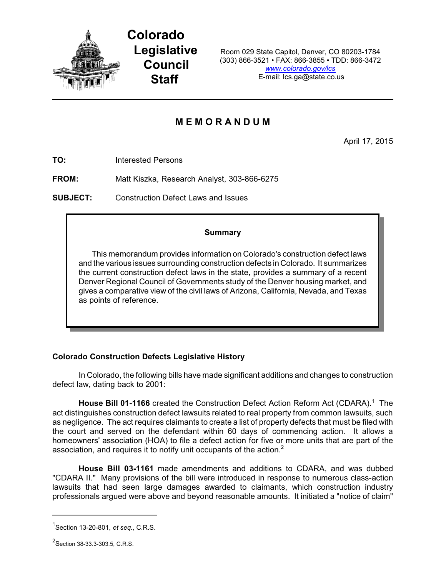

**Colorado Legislative Council Staff**

Room 029 State Capitol, Denver, CO 80203-1784 (303) 866-3521 • FAX: 866-3855 • TDD: 866-3472 *[www.colorado.gov/lcs](http://www.colorado.gov/lcs)* E-mail: lcs.ga@state.co.us

# **M E M O R A N D U M**

April 17, 2015

**TO:** Interested Persons

**FROM:** Matt Kiszka, Research Analyst, 303-866-6275

**SUBJECT:** Construction Defect Laws and Issues

### **Summary**

This memorandum provides information on Colorado's construction defect laws and the various issues surrounding construction defects in Colorado. It summarizes the current construction defect laws in the state, provides a summary of a recent Denver Regional Council of Governments study of the Denver housing market, and gives a comparative view of the civil laws of Arizona, California, Nevada, and Texas as points of reference.

## **Colorado Construction Defects Legislative History**

In Colorado, the following bills have made significant additions and changes to construction defect law, dating back to 2001:

**House Bill 01-1166** created the Construction Defect Action Reform Act (CDARA). <sup>1</sup> The act distinguishes construction defect lawsuits related to real property from common lawsuits, such as negligence. The act requires claimants to create a list of property defects that must be filed with the court and served on the defendant within 60 days of commencing action. It allows a homeowners' association (HOA) to file a defect action for five or more units that are part of the association, and requires it to notify unit occupants of the action.<sup>2</sup>

**House Bill 03-1161** made amendments and additions to CDARA, and was dubbed "CDARA II." Many provisions of the bill were introduced in response to numerous class-action lawsuits that had seen large damages awarded to claimants, which construction industry professionals argued were above and beyond reasonable amounts. It initiated a "notice of claim"

<sup>1</sup> Section 13-20-801, *et seq.*, C.R.S.

<sup>&</sup>lt;sup>2</sup>Section 38-33.3-303.5, C.R.S.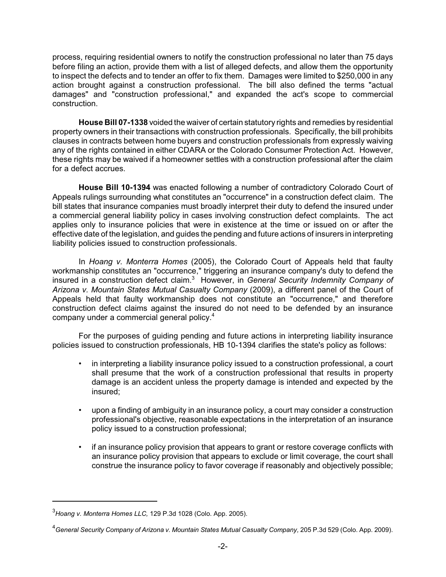process, requiring residential owners to notify the construction professional no later than 75 days before filing an action, provide them with a list of alleged defects, and allow them the opportunity to inspect the defects and to tender an offer to fix them. Damages were limited to \$250,000 in any action brought against a construction professional. The bill also defined the terms "actual damages" and "construction professional," and expanded the act's scope to commercial construction.

**House Bill 07-1338** voided the waiver of certain statutory rights and remedies by residential property owners in their transactions with construction professionals. Specifically, the bill prohibits clauses in contracts between home buyers and construction professionals from expressly waiving any of the rights contained in either CDARA or the Colorado Consumer Protection Act. However, these rights may be waived if a homeowner settles with a construction professional after the claim for a defect accrues.

**House Bill 10-1394** was enacted following a number of contradictory Colorado Court of Appeals rulings surrounding what constitutes an "occurrence" in a construction defect claim. The bill states that insurance companies must broadly interpret their duty to defend the insured under a commercial general liability policy in cases involving construction defect complaints. The act applies only to insurance policies that were in existence at the time or issued on or after the effective date of the legislation, and guides the pending and future actions of insurers in interpreting liability policies issued to construction professionals.

In *Hoang v. Monterra Homes* (2005), the Colorado Court of Appeals held that faulty workmanship constitutes an "occurrence," triggering an insurance company's duty to defend the insured in a construction defect claim. <sup>3</sup> However, in *General Security Indemnity Company of Arizona v. Mountain States Mutual Casualty Company* (2009), a different panel of the Court of Appeals held that faulty workmanship does not constitute an "occurrence," and therefore construction defect claims against the insured do not need to be defended by an insurance company under a commercial general policy. 4

For the purposes of guiding pending and future actions in interpreting liability insurance policies issued to construction professionals, HB 10-1394 clarifies the state's policy as follows:

- in interpreting a liability insurance policy issued to a construction professional, a court shall presume that the work of a construction professional that results in property damage is an accident unless the property damage is intended and expected by the insured;
- upon a finding of ambiguity in an insurance policy, a court may consider a construction professional's objective, reasonable expectations in the interpretation of an insurance policy issued to a construction professional;
- if an insurance policy provision that appears to grant or restore coverage conflicts with an insurance policy provision that appears to exclude or limit coverage, the court shall construe the insurance policy to favor coverage if reasonably and objectively possible;

<sup>3</sup> *Hoang v. Monterra Homes LLC,* 129 P.3d 1028 (Colo. App. 2005).

<sup>4</sup>*General Security Company of Arizona v. Mountain States Mutual Casualty Company,* 205 P.3d 529 (Colo. App. 2009).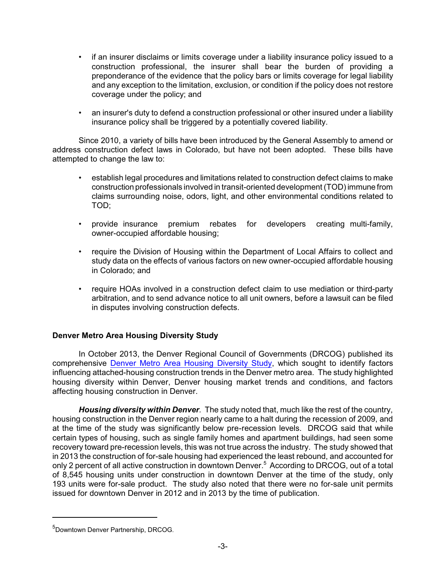- if an insurer disclaims or limits coverage under a liability insurance policy issued to a construction professional, the insurer shall bear the burden of providing a preponderance of the evidence that the policy bars or limits coverage for legal liability and any exception to the limitation, exclusion, or condition if the policy does not restore coverage under the policy; and
- an insurer's duty to defend a construction professional or other insured under a liability insurance policy shall be triggered by a potentially covered liability.

Since 2010, a variety of bills have been introduced by the General Assembly to amend or address construction defect laws in Colorado, but have not been adopted. These bills have attempted to change the law to:

- establish legal procedures and limitations related to construction defect claims to make construction professionals involved in transit-oriented development (TOD) immune from claims surrounding noise, odors, light, and other environmental conditions related to TOD;
- provide insurance premium rebates for developers creating multi-family, owner-occupied affordable housing;
- require the Division of Housing within the Department of Local Affairs to collect and study data on the effects of various factors on new owner-occupied affordable housing in Colorado; and
- require HOAs involved in a construction defect claim to use mediation or third-party arbitration, and to send advance notice to all unit owners, before a lawsuit can be filed in disputes involving construction defects.

## **Denver Metro Area Housing Diversity Study**

In October 2013, the Denver Regional Council of Governments (DRCOG) published its comprehensive Denver [Metro Area Housing](#page-2-0) Diversity Study, which sought to identify factors influencing attached-housing construction trends in the Denver metro area. The study highlighted housing diversity within Denver, Denver housing market trends and conditions, and factors affecting housing construction in Denver.

*Housing diversity within Denver.* The study noted that, much like the rest of the country, housing construction in the Denver region nearly came to a halt during the recession of 2009, and at the time of the study was significantly below pre-recession levels. DRCOG said that while certain types of housing, such as single family homes and apartment buildings, had seen some recovery toward pre-recession levels, this was not true across the industry. The study showed that in 2013 the construction of for-sale housing had experienced the least rebound, and accounted for only 2 percent of all active construction in downtown Denver. <sup>5</sup> According to DRCOG, out of a total of 8,545 housing units under construction in downtown Denver at the time of the study, only 193 units were for-sale product. The study also noted that there were no for-sale unit permits issued for downtown Denver in 2012 and in 2013 by the time of publication.

<span id="page-2-0"></span><sup>&</sup>lt;sup>5</sup>Downtown Denver Partnership, DRCOG.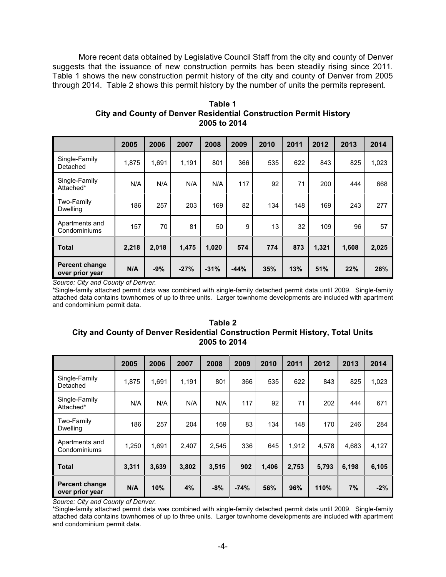More recent data obtained by Legislative Council Staff from the city and county of Denver suggests that the issuance of new construction permits has been steadily rising since 2011. Table 1 shows the new construction permit history of the city and county of Denver from 2005 through 2014. Table 2 shows this permit history by the number of units the permits represent.

|                                          | 2005  | 2006  | 2007   | 2008   | 2009   | 2010 | 2011 | 2012  | 2013  | 2014  |
|------------------------------------------|-------|-------|--------|--------|--------|------|------|-------|-------|-------|
| Single-Family<br>Detached                | 1,875 | 1,691 | 1,191  | 801    | 366    | 535  | 622  | 843   | 825   | 1,023 |
| Single-Family<br>Attached*               | N/A   | N/A   | N/A    | N/A    | 117    | 92   | 71   | 200   | 444   | 668   |
| Two-Family<br><b>Dwelling</b>            | 186   | 257   | 203    | 169    | 82     | 134  | 148  | 169   | 243   | 277   |
| Apartments and<br>Condominiums           | 157   | 70    | 81     | 50     | 9      | 13   | 32   | 109   | 96    | 57    |
| <b>Total</b>                             | 2,218 | 2,018 | 1,475  | 1,020  | 574    | 774  | 873  | 1,321 | 1,608 | 2,025 |
| <b>Percent change</b><br>over prior year | N/A   | $-9%$ | $-27%$ | $-31%$ | $-44%$ | 35%  | 13%  | 51%   | 22%   | 26%   |

**Table 1 City and County of Denver Residential Construction Permit History 2005 to 2014**

*Source: City and County of Denver.*

\*Single-family attached permit data was combined with single-family detached permit data until 2009. Single-family attached data contains townhomes of up to three units. Larger townhome developments are included with apartment and condominium permit data.

#### **Table 2 City and County of Denver Residential Construction Permit History, Total Units 2005 to 2014**

|                                          | 2005  | 2006  | 2007  | 2008  | 2009   | 2010  | 2011  | 2012  | 2013  | 2014  |
|------------------------------------------|-------|-------|-------|-------|--------|-------|-------|-------|-------|-------|
| Single-Family<br>Detached                | 1.875 | 1,691 | 1,191 | 801   | 366    | 535   | 622   | 843   | 825   | 1,023 |
| Single-Family<br>Attached*               | N/A   | N/A   | N/A   | N/A   | 117    | 92    | 71    | 202   | 444   | 671   |
| Two-Family<br><b>Dwelling</b>            | 186   | 257   | 204   | 169   | 83     | 134   | 148   | 170   | 246   | 284   |
| Apartments and<br>Condominiums           | 1,250 | 1,691 | 2,407 | 2,545 | 336    | 645   | 1,912 | 4,578 | 4,683 | 4,127 |
| <b>Total</b>                             | 3,311 | 3,639 | 3,802 | 3,515 | 902    | 1,406 | 2,753 | 5,793 | 6,198 | 6,105 |
| <b>Percent change</b><br>over prior year | N/A   | 10%   | 4%    | $-8%$ | $-74%$ | 56%   | 96%   | 110%  | 7%    | $-2%$ |

*Source: City and County of Denver.*

\*Single-family attached permit data was combined with single-family detached permit data until 2009. Single-family attached data contains townhomes of up to three units. Larger townhome developments are included with apartment and condominium permit data.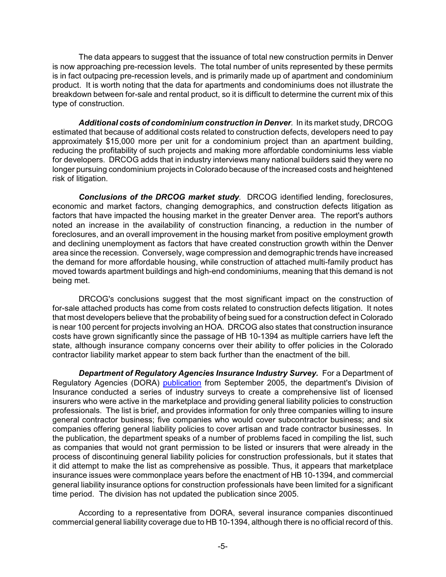The data appears to suggest that the issuance of total new construction permits in Denver is now approaching pre-recession levels. The total number of units represented by these permits is in fact outpacing pre-recession levels, and is primarily made up of apartment and condominium product. It is worth noting that the data for apartments and condominiums does not illustrate the breakdown between for-sale and rental product, so it is difficult to determine the current mix of this type of construction.

*Additional costs of condominium construction in Denver.* In its market study, DRCOG estimated that because of additional costs related to construction defects, developers need to pay approximately \$15,000 more per unit for a condominium project than an apartment building, reducing the profitability of such projects and making more affordable condominiums less viable for developers. DRCOG adds that in industry interviews many national builders said they were no longer pursuing condominium projects in Colorado because of the increased costs and heightened risk of litigation.

*Conclusions of the DRCOG market study.* DRCOG identified lending, foreclosures, economic and market factors, changing demographics, and construction defects litigation as factors that have impacted the housing market in the greater Denver area. The report's authors noted an increase in the availability of construction financing, a reduction in the number of foreclosures, and an overall improvement in the housing market from positive employment growth and declining unemployment as factors that have created construction growth within the Denver area since the recession. Conversely, wage compression and demographic trends have increased the demand for more affordable housing, while construction of attached multi-family product has moved towards apartment buildings and high-end condominiums, meaning that this demand is not being met.

DRCOG's conclusions suggest that the most significant impact on the construction of for-sale attached products has come from costs related to construction defects litigation. It notes that most developers believe that the probability of being sued for a construction defect in Colorado is near 100 percent for projects involving an HOA. DRCOG also states that construction insurance costs have grown significantly since the passage of HB 10-1394 as multiple carriers have left the state, although insurance company concerns over their ability to offer policies in the Colorado contractor liability market appear to stem back further than the enactment of the bill.

*Department of Regulatory Agencies Insurance Industry Survey.* For a Department of Regulatory Agencies (DORA) [publication](http://cospl.coalliance.org/fedora/repository/co:4891/reg42c762005internet.pdf) from September 2005, the department's Division of Insurance conducted a series of industry surveys to create a comprehensive list of licensed insurers who were active in the marketplace and providing general liability policies to construction professionals. The list is brief, and provides information for only three companies willing to insure general contractor business; five companies who would cover subcontractor business; and six companies offering general liability policies to cover artisan and trade contractor businesses. In the publication, the department speaks of a number of problems faced in compiling the list, such as companies that would not grant permission to be listed or insurers that were already in the process of discontinuing general liability policies for construction professionals, but it states that it did attempt to make the list as comprehensive as possible. Thus, it appears that marketplace insurance issues were commonplace years before the enactment of HB 10-1394, and commercial general liability insurance options for construction professionals have been limited for a significant time period. The division has not updated the publication since 2005.

According to a representative from DORA, several insurance companies discontinued commercial general liability coverage due to HB 10-1394, although there is no official record of this.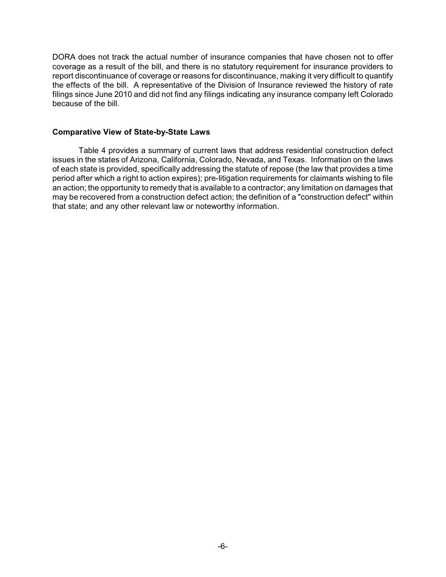DORA does not track the actual number of insurance companies that have chosen not to offer coverage as a result of the bill, and there is no statutory requirement for insurance providers to report discontinuance of coverage or reasons for discontinuance, making it very difficult to quantify the effects of the bill. A representative of the Division of Insurance reviewed the history of rate filings since June 2010 and did not find any filings indicating any insurance company left Colorado because of the bill.

#### **Comparative View of State-by-State Laws**

Table 4 provides a summary of current laws that address residential construction defect issues in the states of Arizona, California, Colorado, Nevada, and Texas. Information on the laws of each state is provided, specifically addressing the statute of repose (the law that provides a time period after which a right to action expires); pre-litigation requirements for claimants wishing to file an action; the opportunity to remedy that is available to a contractor; any limitation on damages that may be recovered from a construction defect action; the definition of a "construction defect" within that state; and any other relevant law or noteworthy information.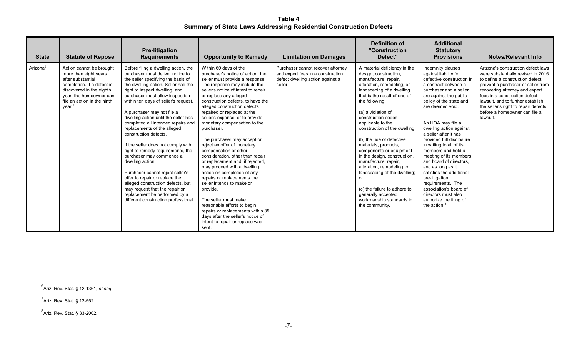**Table 4 Summary of State Laws Addressing Residential Construction Defects**

| <b>State</b>         | <b>Statute of Repose</b>                                                                                                                                                                                         | <b>Pre-litigation</b><br><b>Requirements</b>                                                                                                                                                                                                                                                                                                                                                                                                                                                                                                                                                                                                                                                                                                                                            | <b>Opportunity to Remedy</b>                                                                                                                                                                                                                                                                                                                                                                                                                                                                                                                                                                                                                                                                                                                                                                                                                                          | <b>Limitation on Damages</b>                                                                                          | Definition of<br>"Construction<br>Defect"                                                                                                                                                                                                                                                                                                                                                                                                                                                                                                                                                                   | <b>Additional</b><br><b>Statutory</b><br><b>Provisions</b>                                                                                                                                                                                                                                                                                                                                                                                                                                                                                                                                                     | <b>Notes/Relevant Info</b>                                                                                                                                                                                                                                                                                                                      |
|----------------------|------------------------------------------------------------------------------------------------------------------------------------------------------------------------------------------------------------------|-----------------------------------------------------------------------------------------------------------------------------------------------------------------------------------------------------------------------------------------------------------------------------------------------------------------------------------------------------------------------------------------------------------------------------------------------------------------------------------------------------------------------------------------------------------------------------------------------------------------------------------------------------------------------------------------------------------------------------------------------------------------------------------------|-----------------------------------------------------------------------------------------------------------------------------------------------------------------------------------------------------------------------------------------------------------------------------------------------------------------------------------------------------------------------------------------------------------------------------------------------------------------------------------------------------------------------------------------------------------------------------------------------------------------------------------------------------------------------------------------------------------------------------------------------------------------------------------------------------------------------------------------------------------------------|-----------------------------------------------------------------------------------------------------------------------|-------------------------------------------------------------------------------------------------------------------------------------------------------------------------------------------------------------------------------------------------------------------------------------------------------------------------------------------------------------------------------------------------------------------------------------------------------------------------------------------------------------------------------------------------------------------------------------------------------------|----------------------------------------------------------------------------------------------------------------------------------------------------------------------------------------------------------------------------------------------------------------------------------------------------------------------------------------------------------------------------------------------------------------------------------------------------------------------------------------------------------------------------------------------------------------------------------------------------------------|-------------------------------------------------------------------------------------------------------------------------------------------------------------------------------------------------------------------------------------------------------------------------------------------------------------------------------------------------|
| Arizona <sup>6</sup> | Action cannot be brought<br>more than eight years<br>after substantial<br>completion. If a defect is<br>discovered in the eighth<br>year, the homeowner can<br>file an action in the ninth<br>year. <sup>7</sup> | Before filing a dwelling action, the<br>purchaser must deliver notice to<br>the seller specifying the basis of<br>the dwelling action. Seller has the<br>right to inspect dwelling, and<br>purchaser must allow inspection<br>within ten days of seller's request.<br>A purchaser may not file a<br>dwelling action until the seller has<br>completed all intended repairs and<br>replacements of the alleged<br>construction defects.<br>If the seller does not comply with<br>right to remedy requirements, the<br>purchaser may commence a<br>dwelling action.<br>Purchaser cannot reject seller's<br>offer to repair or replace the<br>alleged construction defects, but<br>may request that the repair or<br>replacement be performed by a<br>different construction professional. | Within 60 days of the<br>purchaser's notice of action, the<br>seller must provide a response.<br>The response may include the<br>seller's notice of intent to repair<br>or replace any alleged<br>construction defects, to have the<br>alleged construction defects<br>repaired or replaced at the<br>seller's expense, or to provide<br>monetary compensation to the<br>purchaser.<br>The purchaser may accept or<br>reject an offer of monetary<br>compensation or other<br>consideration, other than repair<br>or replacement and, if rejected,<br>may proceed with a dwelling<br>action on completion of any<br>repairs or replacements the<br>seller intends to make or<br>provide.<br>The seller must make<br>reasonable efforts to begin<br>repairs or replacements within 35<br>days after the seller's notice of<br>intent to repair or replace was<br>sent. | Purchaser cannot recover attorney<br>and expert fees in a construction<br>defect dwelling action against a<br>seller. | A material deficiency in the<br>design, construction,<br>manufacture, repair,<br>alteration, remodeling, or<br>landscaping of a dwelling<br>that is the result of one of<br>the following:<br>(a) a violation of<br>construction codes<br>applicable to the<br>construction of the dwelling;<br>(b) the use of defective<br>materials, products,<br>components or equipment<br>in the design, construction,<br>manufacture, repair,<br>alteration, remodeling, or<br>landscaping of the dwelling;<br>or<br>(c) the failure to adhere to<br>generally accepted<br>workmanship standards in<br>the community. | Indemnity clauses<br>against liability for<br>defective construction in<br>a contract between a<br>purchaser and a seller<br>are against the public<br>policy of the state and<br>are deemed void.<br>An HOA may file a<br>dwelling action against<br>a seller after it has<br>provided full disclosure<br>in writing to all of its<br>members and held a<br>meeting of its members<br>and board of directors.<br>and as long as it<br>satisfies the additional<br>pre-litigation<br>requirements. The<br>association's board of<br>directors must also<br>authorize the filing of<br>the action. <sup>8</sup> | Arizona's construction defect laws<br>were substantially revised in 2015<br>to define a construction defect,<br>prevent a purchaser or seller from<br>recovering attorney and expert<br>fees in a construction defect<br>lawsuit, and to further establish<br>the seller's right to repair defects<br>before a homeowner can file a<br>lawsuit. |

<sup>6</sup> Ariz. Rev. Stat. § 12-1361, *et seq.*

<sup>&</sup>lt;sup>7</sup> Ariz. Rev. Stat. § 12-552.

<sup>&</sup>lt;sup>8</sup><br>Ariz. Rev. Stat. § 33-2002.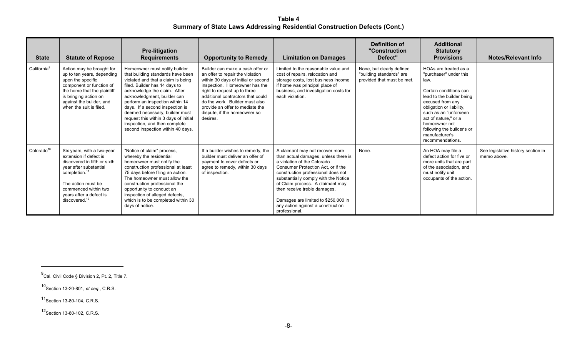**Table 4 Summary of State Laws Addressing Residential Construction Defects (Cont.)**

| <b>State</b>            | <b>Statute of Repose</b>                                                                                                                                                                                                                          | <b>Pre-litigation</b><br><b>Requirements</b>                                                                                                                                                                                                                                                                                                                                                                                    | <b>Opportunity to Remedy</b>                                                                                                                                                                                                                                                                                                       | <b>Limitation on Damages</b>                                                                                                                                                                                                                                                                                                                                                                | Definition of<br>"Construction<br>Defect"                                           | <b>Additional</b><br><b>Statutory</b><br><b>Provisions</b>                                                                                                                                                                                                                                           | <b>Notes/Relevant Info</b>                        |
|-------------------------|---------------------------------------------------------------------------------------------------------------------------------------------------------------------------------------------------------------------------------------------------|---------------------------------------------------------------------------------------------------------------------------------------------------------------------------------------------------------------------------------------------------------------------------------------------------------------------------------------------------------------------------------------------------------------------------------|------------------------------------------------------------------------------------------------------------------------------------------------------------------------------------------------------------------------------------------------------------------------------------------------------------------------------------|---------------------------------------------------------------------------------------------------------------------------------------------------------------------------------------------------------------------------------------------------------------------------------------------------------------------------------------------------------------------------------------------|-------------------------------------------------------------------------------------|------------------------------------------------------------------------------------------------------------------------------------------------------------------------------------------------------------------------------------------------------------------------------------------------------|---------------------------------------------------|
| California <sup>9</sup> | Action may be brought for<br>up to ten years, depending<br>upon the specific<br>component or function of<br>the home that the plaintiff<br>is bringing action on<br>against the builder, and<br>when the suit is filed.                           | Homeowner must notify builder<br>that building standards have been<br>violated and that a claim is being<br>filed. Builder has 14 days to<br>acknowledge the claim. After<br>acknowledgment, builder can<br>perform an inspection within 14<br>days. If a second inspection is<br>deemed necessary, builder must<br>request this within 3 days of initial<br>inspection, and then complete<br>second inspection within 40 days. | Builder can make a cash offer or<br>an offer to repair the violation<br>within 30 days of initial or second<br>inspection. Homeowner has the<br>right to request up to three<br>additional contractors that could<br>do the work. Builder must also<br>provide an offer to mediate the<br>dispute, if the homeowner so<br>desires. | Limited to the reasonable value and<br>cost of repairs, relocation and<br>storage costs, lost business income<br>if home was principal place of<br>business, and investigation costs for<br>each violation.                                                                                                                                                                                 | None, but clearly defined<br>"building standards" are<br>provided that must be met. | HOAs are treated as a<br>"purchaser" under this<br>law.<br>Certain conditions can<br>lead to the builder being<br>excused from any<br>obligation or liability,<br>such as an "unforseen<br>act of nature." or a<br>homeowner not<br>following the builder's or<br>manufacturer's<br>recommendations. |                                                   |
| Colorado <sup>10</sup>  | Six years, with a two-year<br>extension if defect is<br>discovered in fifth or sixth<br>year after substantial<br>completion. <sup>11</sup><br>The action must be<br>commenced within two<br>years after a defect is<br>discovered. <sup>12</sup> | "Notice of claim" process,<br>whereby the residential<br>homeowner must notify the<br>construction professional at least<br>75 days before filing an action.<br>The homeowner must allow the<br>construction professional the<br>opportunity to conduct an<br>inspection of alleged defects,<br>which is to be completed within 30<br>days of notice.                                                                           | If a builder wishes to remedy, the<br>builder must deliver an offer of<br>payment to cover defects or<br>agree to remedy, within 30 days<br>of inspection.                                                                                                                                                                         | A claimant may not recover more<br>than actual damages, unless there is<br>a violation of the Colorado<br>Consumer Protection Act. or if the<br>construction professional does not<br>substantially comply with the Notice<br>of Claim process. A claimant may<br>then receive treble damages.<br>Damages are limited to \$250,000 in<br>any action against a construction<br>professional. | None.                                                                               | An HOA may file a<br>defect action for five or<br>more units that are part<br>of the association, and<br>must notify unit<br>occupants of the action.                                                                                                                                                | See legislative history section in<br>memo above. |

 $^{9}$ Cal. Civil Code § Division 2, Pt. 2, Title 7.

<sup>10</sup> Section 13-20-801, *et seq.*, C.R.S.

<sup>11</sup> Section 13-80-104, C.R.S.

<sup>12</sup> Section 13-80-102, C.R.S.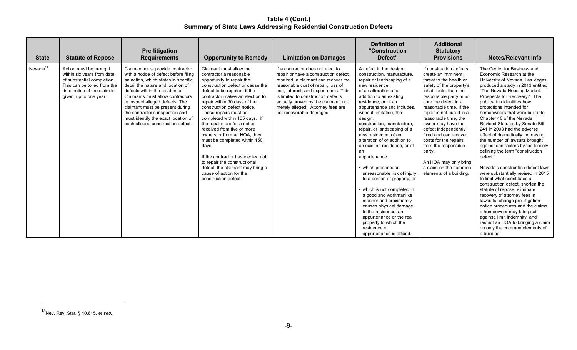**Table 4 (Cont.) Summary of State Laws Addressing Residential Construction Defects**

| <b>State</b>         | <b>Statute of Repose</b>                                                                                                                                                   | <b>Pre-litigation</b><br><b>Requirements</b>                                                                                                                                                                                                                                                                                                                                                                    | <b>Opportunity to Remedy</b>                                                                                                                                                                                                                                                                                                                                                                                                                                                                                                                                                                                      | <b>Limitation on Damages</b>                                                                                                                                                                                                                                                                                                                    | Definition of<br>"Construction<br>Defect"                                                                                                                                                                                                                                                                                                                                                                                                                                                                                                                                                                                                                                                                                                                    | <b>Additional</b><br><b>Statutory</b><br><b>Provisions</b>                                                                                                                                                                                                                                                                                                                                                                                                                    | <b>Notes/Relevant Info</b>                                                                                                                                                                                                                                                                                                                                                                                                                                                                                                                                                                                                                                                                                                                                                                                                                                                                                                                                                                                |
|----------------------|----------------------------------------------------------------------------------------------------------------------------------------------------------------------------|-----------------------------------------------------------------------------------------------------------------------------------------------------------------------------------------------------------------------------------------------------------------------------------------------------------------------------------------------------------------------------------------------------------------|-------------------------------------------------------------------------------------------------------------------------------------------------------------------------------------------------------------------------------------------------------------------------------------------------------------------------------------------------------------------------------------------------------------------------------------------------------------------------------------------------------------------------------------------------------------------------------------------------------------------|-------------------------------------------------------------------------------------------------------------------------------------------------------------------------------------------------------------------------------------------------------------------------------------------------------------------------------------------------|--------------------------------------------------------------------------------------------------------------------------------------------------------------------------------------------------------------------------------------------------------------------------------------------------------------------------------------------------------------------------------------------------------------------------------------------------------------------------------------------------------------------------------------------------------------------------------------------------------------------------------------------------------------------------------------------------------------------------------------------------------------|-------------------------------------------------------------------------------------------------------------------------------------------------------------------------------------------------------------------------------------------------------------------------------------------------------------------------------------------------------------------------------------------------------------------------------------------------------------------------------|-----------------------------------------------------------------------------------------------------------------------------------------------------------------------------------------------------------------------------------------------------------------------------------------------------------------------------------------------------------------------------------------------------------------------------------------------------------------------------------------------------------------------------------------------------------------------------------------------------------------------------------------------------------------------------------------------------------------------------------------------------------------------------------------------------------------------------------------------------------------------------------------------------------------------------------------------------------------------------------------------------------|
| Nevada <sup>13</sup> | Action must be brought<br>within six years from date<br>of substantial completion.<br>This can be tolled from the<br>time notice of the claim is<br>given, up to one year. | Claimant must provide contractor<br>with a notice of defect before filing<br>an action, which states in specific<br>detail the nature and location of<br>defects within the residence.<br>Claimants must allow contractors<br>to inspect alleged defects. The<br>claimant must be present during<br>the contractor's inspection and<br>must identify the exact location of<br>each alleged construction defect. | Claimant must allow the<br>contractor a reasonable<br>opportunity to repair the<br>construction defect or cause the<br>defect to be repaired if the<br>contractor makes an election to<br>repair within 90 days of the<br>construction defect notice.<br>These repairs must be<br>completed within 105 days. If<br>the repairs are for a notice<br>received from five or more<br>owners or from an HOA, they<br>must be completed within 150<br>days.<br>If the contractor has elected not<br>to repair the constructional<br>defect, the claimant may bring a<br>cause of action for the<br>construction defect. | If a contractor does not elect to<br>repair or have a construction defect<br>repaired, a claimant can recover the<br>reasonable cost of repair, loss of<br>use, interest, and expert costs. This<br>is limited to construction defects<br>actually proven by the claimant, not<br>merely alleged. Attorney fees are<br>not recoverable damages. | A defect in the design,<br>construction, manufacture.<br>repair or landscaping of a<br>new residence.<br>of an alteration of or<br>addition to an existing<br>residence, or of an<br>appurtenance and includes.<br>without limitation, the<br>design,<br>construction, manufacture.<br>repair, or landscaping of a<br>new residence, of an<br>alteration of or addition to<br>an existing residence, or of<br>an<br>appurtenance:<br>• which presents an<br>unreasonable risk of injury<br>to a person or property; or<br>• which is not completed in<br>a good and workmanlike<br>manner and proximately<br>causes physical damage<br>to the residence, an<br>appurtenance or the real<br>property to which the<br>residence or<br>appurtenance is affixed. | If construction defects<br>create an imminent<br>threat to the health or<br>safety of the property's<br>inhabitants, then the<br>responsible party must<br>cure the defect in a<br>reasonable time. If the<br>repair is not cured in a<br>reasonable time, the<br>owner may have the<br>defect independently<br>fixed and can recover<br>costs for the repairs<br>from the responsible<br>party.<br>An HOA may only bring<br>a claim on the common<br>elements of a building. | The Center for Business and<br>Economic Research at the<br>University of Nevada, Las Vegas,<br>produced a study in 2013 entitled<br>"The Nevada Housing Market:<br>Prospects for Recovery." The<br>publication identifies how<br>protections intended for<br>homeowners that were built into<br>Chapter 40 of the Nevada<br><b>Revised Statutes by Senate Bill</b><br>241 in 2003 had the adverse<br>effect of dramatically increasing<br>the number of lawsuits brought<br>against contractors by too loosely<br>defining the term "construction<br>defect."<br>Nevada's construction defect laws<br>were substantially revised in 2015<br>to limit what constitutes a<br>construction defect, shorten the<br>statute of repose, eliminate<br>recovery of attorney fees in<br>lawsuits, change pre-litigation<br>notice procedures and the claims<br>a homeowner may bring suit<br>against, limit indemnity, and<br>restrict an HOA to bringing a claim<br>on only the common elements of<br>a building. |

<sup>13</sup> Nev. Rev. Stat. § 40.615, *et seq.*